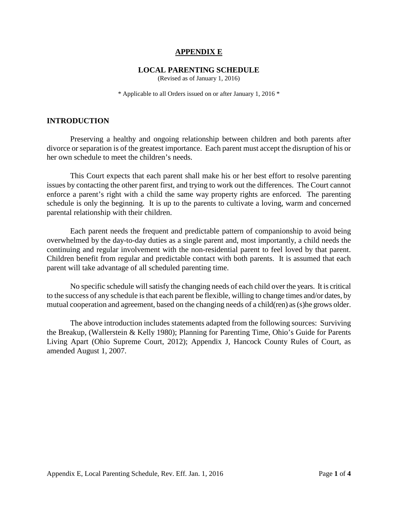### **APPENDIX E**

#### **LOCAL PARENTING SCHEDULE**

(Revised as of January 1, 2016)

\* Applicable to all Orders issued on or after January 1, 2016 \*

#### **INTRODUCTION**

Preserving a healthy and ongoing relationship between children and both parents after divorce or separation is of the greatest importance. Each parent must accept the disruption of his or her own schedule to meet the children's needs.

This Court expects that each parent shall make his or her best effort to resolve parenting issues by contacting the other parent first, and trying to work out the differences. The Court cannot enforce a parent's right with a child the same way property rights are enforced. The parenting schedule is only the beginning. It is up to the parents to cultivate a loving, warm and concerned parental relationship with their children.

Each parent needs the frequent and predictable pattern of companionship to avoid being overwhelmed by the day-to-day duties as a single parent and, most importantly, a child needs the continuing and regular involvement with the non-residential parent to feel loved by that parent. Children benefit from regular and predictable contact with both parents. It is assumed that each parent will take advantage of all scheduled parenting time.

No specific schedule will satisfy the changing needs of each child over the years. It is critical to the success of any schedule is that each parent be flexible, willing to change times and/or dates, by mutual cooperation and agreement, based on the changing needs of a child(ren) as (s)he grows older.

The above introduction includes statements adapted from the following sources: Surviving the Breakup, (Wallerstein & Kelly 1980); Planning for Parenting Time, Ohio's Guide for Parents Living Apart (Ohio Supreme Court, 2012); Appendix J, Hancock County Rules of Court, as amended August 1, 2007.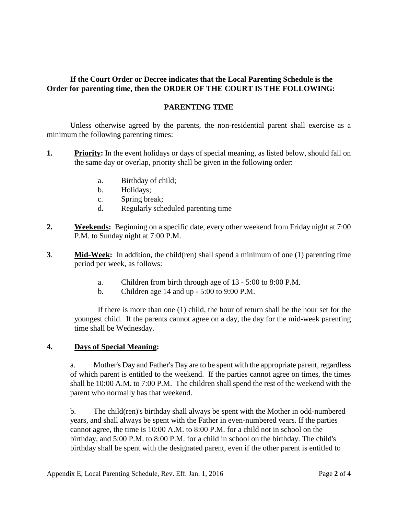## **If the Court Order or Decree indicates that the Local Parenting Schedule is the Order for parenting time, then the ORDER OF THE COURT IS THE FOLLOWING:**

## **PARENTING TIME**

Unless otherwise agreed by the parents, the non-residential parent shall exercise as a minimum the following parenting times:

- **1. Priority:** In the event holidays or days of special meaning, as listed below, should fall on the same day or overlap, priority shall be given in the following order:
	- a. Birthday of child;
	- b. Holidays;
	- c. Spring break;
	- d. Regularly scheduled parenting time
- **2. Weekends:** Beginning on a specific date, every other weekend from Friday night at 7:00 P.M. to Sunday night at 7:00 P.M.
- **3**. **Mid-Week:** In addition, the child(ren) shall spend a minimum of one (1) parenting time period per week, as follows:
	- a. Children from birth through age of 13 5:00 to 8:00 P.M.
	- b. Children age 14 and up 5:00 to 9:00 P.M.

If there is more than one (1) child, the hour of return shall be the hour set for the youngest child. If the parents cannot agree on a day, the day for the mid-week parenting time shall be Wednesday.

### **4. Days of Special Meaning:**

a. Mother's Day and Father's Day are to be spent with the appropriate parent, regardless of which parent is entitled to the weekend. If the parties cannot agree on times, the times shall be 10:00 A.M. to 7:00 P.M. The children shall spend the rest of the weekend with the parent who normally has that weekend.

b. The child(ren)'s birthday shall always be spent with the Mother in odd-numbered years, and shall always be spent with the Father in even-numbered years. If the parties cannot agree, the time is 10:00 A.M. to 8:00 P.M. for a child not in school on the birthday, and 5:00 P.M. to 8:00 P.M. for a child in school on the birthday. The child's birthday shall be spent with the designated parent, even if the other parent is entitled to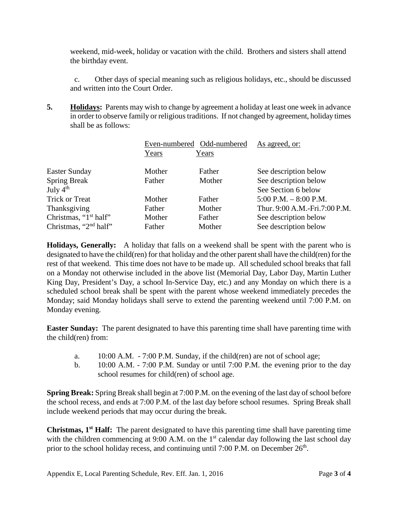weekend, mid-week, holiday or vacation with the child. Brothers and sisters shall attend the birthday event.

c. Other days of special meaning such as religious holidays, etc., should be discussed and written into the Court Order.

**5. Holidays:** Parents may wish to change by agreement a holiday at least one week in advance in order to observe family or religious traditions. If not changed by agreement, holiday times shall be as follows:

|                                   | Even-numbered Odd-numbered |        | As agreed, or:                |
|-----------------------------------|----------------------------|--------|-------------------------------|
|                                   | Years                      | Years  |                               |
| <b>Easter Sunday</b>              | Mother                     | Father | See description below         |
| <b>Spring Break</b>               | Father                     | Mother | See description below         |
| July $4th$                        |                            |        | See Section 6 below           |
| <b>Trick or Treat</b>             | Mother                     | Father | $5:00$ P.M. $-8:00$ P.M.      |
| Thanksgiving                      | Father                     | Mother | Thur. 9:00 A.M.-Fri.7:00 P.M. |
| Christmas, "1 <sup>st</sup> half" | Mother                     | Father | See description below         |
| Christmas, "2 <sup>nd</sup> half" | Father                     | Mother | See description below         |

**Holidays, Generally:** A holiday that falls on a weekend shall be spent with the parent who is designated to have the child(ren) for that holiday and the other parent shall have the child(ren) for the rest of that weekend. This time does not have to be made up. All scheduled school breaks that fall on a Monday not otherwise included in the above list (Memorial Day, Labor Day, Martin Luther King Day, President's Day, a school In-Service Day, etc.) and any Monday on which there is a scheduled school break shall be spent with the parent whose weekend immediately precedes the Monday; said Monday holidays shall serve to extend the parenting weekend until 7:00 P.M. on Monday evening.

**Easter Sunday:** The parent designated to have this parenting time shall have parenting time with the child(ren) from:

- a. 10:00 A.M. 7:00 P.M. Sunday, if the child(ren) are not of school age;
- b. 10:00 A.M. 7:00 P.M. Sunday or until 7:00 P.M. the evening prior to the day school resumes for child(ren) of school age.

**Spring Break:** Spring Break shall begin at 7:00 P.M. on the evening of the last day of school before the school recess, and ends at 7:00 P.M. of the last day before school resumes. Spring Break shall include weekend periods that may occur during the break.

**Christmas, 1st Half:** The parent designated to have this parenting time shall have parenting time with the children commencing at 9:00 A.M. on the 1<sup>st</sup> calendar day following the last school day prior to the school holiday recess, and continuing until 7:00 P.M. on December  $26<sup>th</sup>$ .